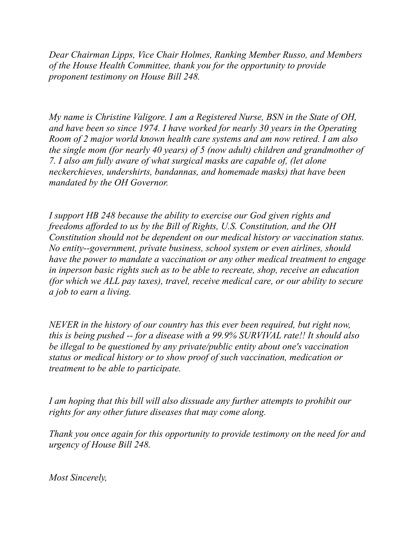*Dear Chairman Lipps, Vice Chair Holmes, Ranking Member Russo, and Members of the House Health Committee, thank you for the opportunity to provide proponent testimony on House Bill 248.*

*My name is Christine Valigore. I am a Registered Nurse, BSN in the State of OH, and have been so since 1974. I have worked for nearly 30 years in the Operating Room of 2 major world known health care systems and am now retired. I am also the single mom (for nearly 40 years) of 5 (now adult) children and grandmother of 7. I also am fully aware of what surgical masks are capable of, (let alone neckerchieves, undershirts, bandannas, and homemade masks) that have been mandated by the OH Governor.*

*I support HB 248 because the ability to exercise our God given rights and freedoms afforded to us by the Bill of Rights, U.S. Constitution, and the OH Constitution should not be dependent on our medical history or vaccination status. No entity--government, private business, school system or even airlines, should have the power to mandate a vaccination or any other medical treatment to engage in inperson basic rights such as to be able to recreate, shop, receive an education (for which we ALL pay taxes), travel, receive medical care, or our ability to secure a job to earn a living.*

*NEVER in the history of our country has this ever been required, but right now, this is being pushed -- for a disease with a 99.9% SURVIVAL rate!! It should also be illegal to be questioned by any private/public entity about one's vaccination status or medical history or to show proof of such vaccination, medication or treatment to be able to participate.*

*I am hoping that this bill will also dissuade any further attempts to prohibit our rights for any other future diseases that may come along.*

*Thank you once again for this opportunity to provide testimony on the need for and urgency of House Bill 248.*

*Most Sincerely,*